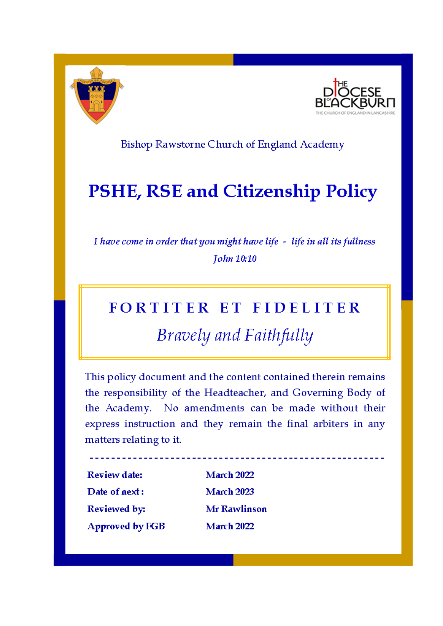



## Bishop Rawstorne Church of England Academy

# **PSHE, RSE and Citizenship Policy**

I have come in order that you might have life - life in all its fullness **John 10:10** 

## FORTITER ET FIDELITER

# Bravely and Faithfully

This policy document and the content contained therein remains the responsibility of the Headteacher, and Governing Body of the Academy. No amendments can be made without their express instruction and they remain the final arbiters in any matters relating to it.

| <b>Review date:</b>    | <b>March 2022</b>   |
|------------------------|---------------------|
| Date of next:          | <b>March 2023</b>   |
| <b>Reviewed by:</b>    | <b>Mr Rawlinson</b> |
| <b>Approved by FGB</b> | <b>March 2022</b>   |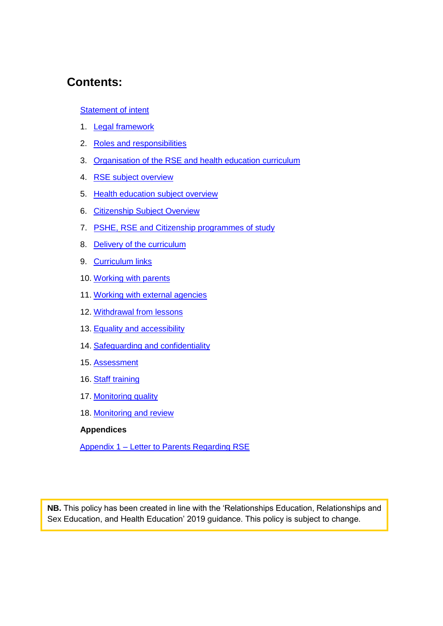## **Contents:**

[Statement of intent](#page-1-0)

- 1. [Legal framework](#page-2-0)
- 2. [Roles and responsibilities](#page-4-0)
- 3. [Organisation of the RSE and health education c](#page-7-0)urriculum
- 4. [RSE subject](#page-8-0) overview
- 5. [Health education subject](#page-11-0) overview
- 6. Citizenship Subject Overview
- 7. PSHE, [RSE and Citizenship programmes of study](#page-11-1)
- 8. Delivery of the curriculum
- 9. [Curriculum links](#page-20-0)
- 10. [Working with parents](#page-20-0)
- 11. [Working with external agencies](#page-21-0)
- 12. [Withdrawal from lessons](#page-22-0)
- 13. Equality [and accessibility](#page-23-0)
- 14. [Safeguarding and confidentiality](#page-24-0)
- 15. [Assessment](#page-24-1)
- 16. [Staff training](#page-25-0)
- 17. [Monitoring quality](#page-25-1)
- 18. [Monitoring and review](#page-25-1)

#### **Appendices**

Appendix 1 – Letter to Parents Regarding RSE

<span id="page-1-0"></span>**NB.** This policy has been created in line with the 'Relationships Education, Relationships and Sex Education, and Health Education' 2019 guidance. This policy is subject to change.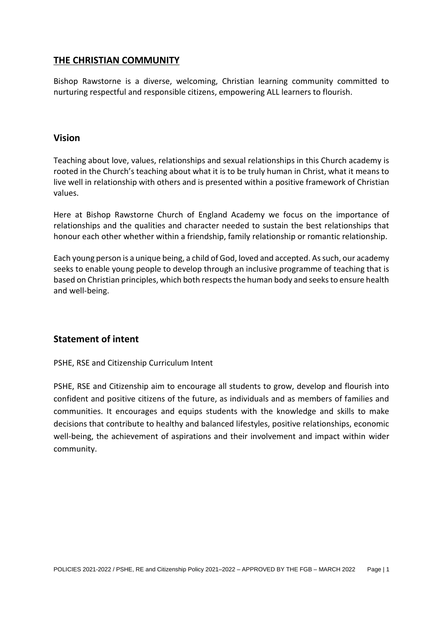## **THE CHRISTIAN COMMUNITY**

Bishop Rawstorne is a diverse, welcoming, Christian learning community committed to nurturing respectful and responsible citizens, empowering ALL learners to flourish.

#### **Vision**

Teaching about love, values, relationships and sexual relationships in this Church academy is rooted in the Church's teaching about what it is to be truly human in Christ, what it means to live well in relationship with others and is presented within a positive framework of Christian values.

Here at Bishop Rawstorne Church of England Academy we focus on the importance of relationships and the qualities and character needed to sustain the best relationships that honour each other whether within a friendship, family relationship or romantic relationship.

Each young person is a unique being, a child of God, loved and accepted. As such, our academy seeks to enable young people to develop through an inclusive programme of teaching that is based on Christian principles, which both respects the human body and seeks to ensure health and well-being.

## **Statement of intent**

#### PSHE, RSE and Citizenship Curriculum Intent

<span id="page-2-0"></span>PSHE, RSE and Citizenship aim to encourage all students to grow, develop and flourish into confident and positive citizens of the future, as individuals and as members of families and communities. It encourages and equips students with the knowledge and skills to make decisions that contribute to healthy and balanced lifestyles, positive relationships, economic well-being, the achievement of aspirations and their involvement and impact within wider community.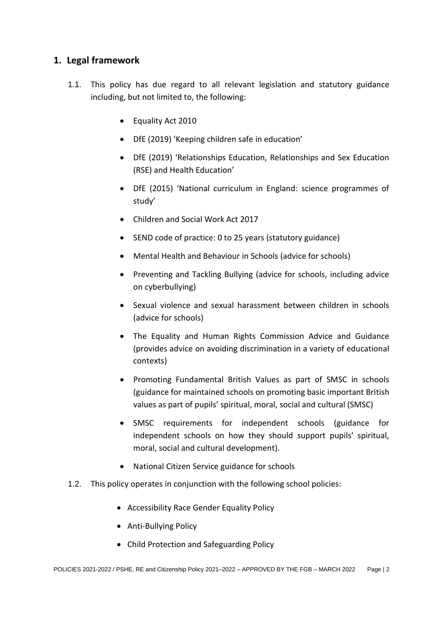## **1. Legal framework**

- 1.1. This policy has due regard to all relevant legislation and statutory guidance including, but not limited to, the following:
	- Equality Act 2010
	- DfE (2019) 'Keeping children safe in education'
	- DfE (2019) 'Relationships Education, Relationships and Sex Education (RSE) and Health Education'
	- DfE (2015) 'National curriculum in England: science programmes of study'
	- Children and Social Work Act 2017
	- SEND code of practice: 0 to 25 years (statutory guidance)
	- Mental Health and Behaviour in Schools (advice for schools)
	- Preventing and Tackling Bullying (advice for schools, including advice on cyberbullying)
	- Sexual violence and sexual harassment between children in schools (advice for schools)
	- The Equality and Human Rights Commission Advice and Guidance (provides advice on avoiding discrimination in a variety of educational contexts)
	- Promoting Fundamental British Values as part of SMSC in schools (guidance for maintained schools on promoting basic important British values as part of pupils' spiritual, moral, social and cultural (SMSC)
	- SMSC requirements for independent schools (guidance for independent schools on how they should support pupils' spiritual, moral, social and cultural development).
	- National Citizen Service guidance for schools
- 1.2. This policy operates in conjunction with the following school policies:
	- Accessibility Race Gender Equality Policy
	- Anti-Bullying Policy
	- Child Protection and Safeguarding Policy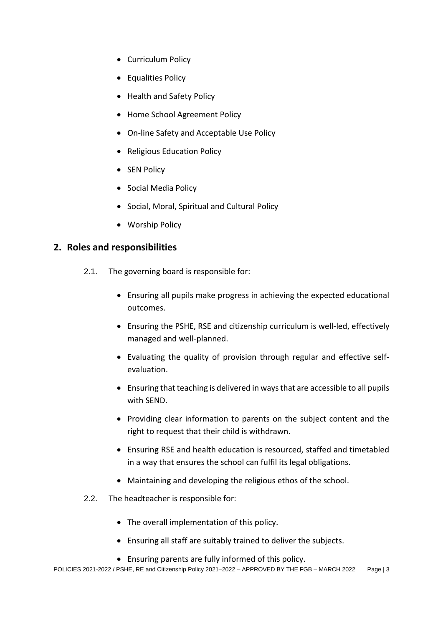- Curriculum Policy
- Equalities Policy
- Health and Safety Policy
- Home School Agreement Policy
- On-line Safety and Acceptable Use Policy
- Religious Education Policy
- SEN Policy
- Social Media Policy
- Social, Moral, Spiritual and Cultural Policy
- Worship Policy

## <span id="page-4-0"></span>**2. Roles and responsibilities**

- 2.1. The governing board is responsible for:
	- Ensuring all pupils make progress in achieving the expected educational outcomes.
	- Ensuring the PSHE, RSE and citizenship curriculum is well-led, effectively managed and well-planned.
	- Evaluating the quality of provision through regular and effective selfevaluation.
	- Ensuring that teaching is delivered in ways that are accessible to all pupils with SEND.
	- Providing clear information to parents on the subject content and the right to request that their child is withdrawn.
	- Ensuring RSE and health education is resourced, staffed and timetabled in a way that ensures the school can fulfil its legal obligations.
	- Maintaining and developing the religious ethos of the school.
- 2.2. The headteacher is responsible for:
	- The overall implementation of this policy.
	- Ensuring all staff are suitably trained to deliver the subjects.
	- Ensuring parents are fully informed of this policy.

POLICIES 2021-2022 / PSHE, RE and Citizenship Policy 2021–2022 – APPROVED BY THE FGB – MARCH 2022 Page | 3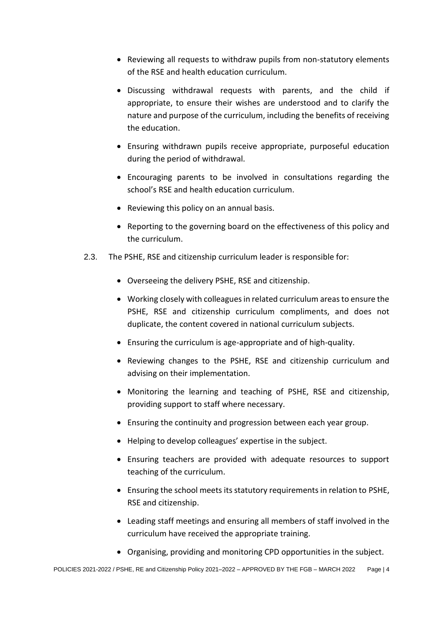- Reviewing all requests to withdraw pupils from non-statutory elements of the RSE and health education curriculum.
- Discussing withdrawal requests with parents, and the child if appropriate, to ensure their wishes are understood and to clarify the nature and purpose of the curriculum, including the benefits of receiving the education.
- Ensuring withdrawn pupils receive appropriate, purposeful education during the period of withdrawal.
- Encouraging parents to be involved in consultations regarding the school's RSE and health education curriculum.
- Reviewing this policy on an annual basis.
- Reporting to the governing board on the effectiveness of this policy and the curriculum.
- 2.3. The PSHE, RSE and citizenship curriculum leader is responsible for:
	- Overseeing the delivery PSHE, RSE and citizenship.
	- Working closely with colleagues in related curriculum areas to ensure the PSHE, RSE and citizenship curriculum compliments, and does not duplicate, the content covered in national curriculum subjects.
	- Ensuring the curriculum is age-appropriate and of high-quality.
	- Reviewing changes to the PSHE, RSE and citizenship curriculum and advising on their implementation.
	- Monitoring the learning and teaching of PSHE, RSE and citizenship, providing support to staff where necessary.
	- Ensuring the continuity and progression between each year group.
	- Helping to develop colleagues' expertise in the subject.
	- Ensuring teachers are provided with adequate resources to support teaching of the curriculum.
	- Ensuring the school meets its statutory requirements in relation to PSHE, RSE and citizenship.
	- Leading staff meetings and ensuring all members of staff involved in the curriculum have received the appropriate training.
	- Organising, providing and monitoring CPD opportunities in the subject.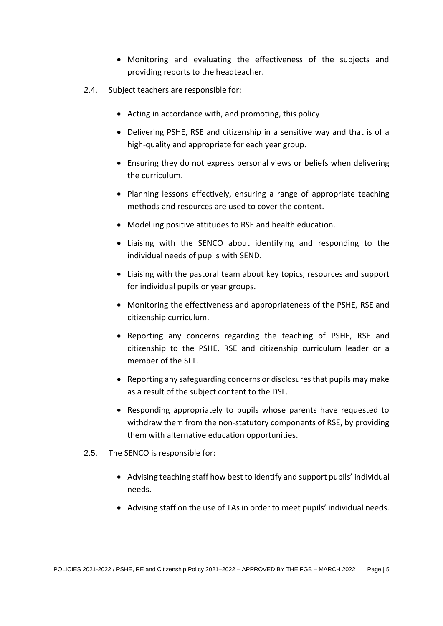- Monitoring and evaluating the effectiveness of the subjects and providing reports to the headteacher.
- 2.4. Subject teachers are responsible for:
	- Acting in accordance with, and promoting, this policy
	- Delivering PSHE, RSE and citizenship in a sensitive way and that is of a high-quality and appropriate for each year group.
	- Ensuring they do not express personal views or beliefs when delivering the curriculum.
	- Planning lessons effectively, ensuring a range of appropriate teaching methods and resources are used to cover the content.
	- Modelling positive attitudes to RSE and health education.
	- Liaising with the SENCO about identifying and responding to the individual needs of pupils with SEND.
	- Liaising with the pastoral team about key topics, resources and support for individual pupils or year groups.
	- Monitoring the effectiveness and appropriateness of the PSHE, RSE and citizenship curriculum.
	- Reporting any concerns regarding the teaching of PSHE, RSE and citizenship to the PSHE, RSE and citizenship curriculum leader or a member of the SLT.
	- Reporting any safeguarding concerns or disclosures that pupils may make as a result of the subject content to the DSL.
	- Responding appropriately to pupils whose parents have requested to withdraw them from the non-statutory components of RSE, by providing them with alternative education opportunities.
- 2.5. The SENCO is responsible for:
	- Advising teaching staff how best to identify and support pupils' individual needs.
	- Advising staff on the use of TAs in order to meet pupils' individual needs.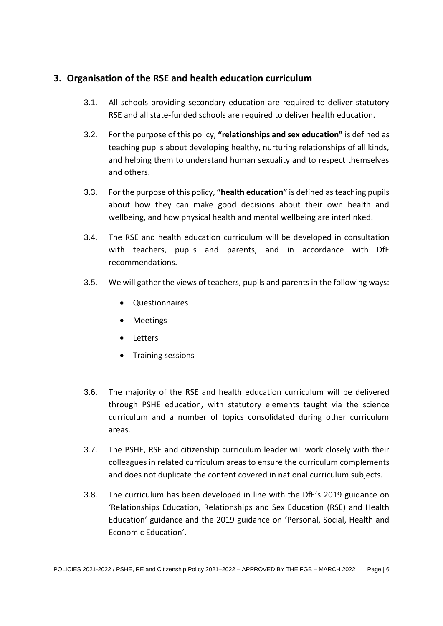## <span id="page-7-0"></span>**3. Organisation of the RSE and health education curriculum**

- 3.1. All schools providing secondary education are required to deliver statutory RSE and all state-funded schools are required to deliver health education.
- 3.2. For the purpose of this policy, **"relationships and sex education"** is defined as teaching pupils about developing healthy, nurturing relationships of all kinds, and helping them to understand human sexuality and to respect themselves and others.
- 3.3. For the purpose of this policy, **"health education"** is defined as teaching pupils about how they can make good decisions about their own health and wellbeing, and how physical health and mental wellbeing are interlinked.
- 3.4. The RSE and health education curriculum will be developed in consultation with teachers, pupils and parents, and in accordance with DfE recommendations.
- 3.5. We will gather the views of teachers, pupils and parents in the following ways:
	- Questionnaires
	- Meetings
	- Letters
	- Training sessions
- 3.6. The majority of the RSE and health education curriculum will be delivered through PSHE education, with statutory elements taught via the science curriculum and a number of topics consolidated during other curriculum areas.
- 3.7. The PSHE, RSE and citizenship curriculum leader will work closely with their colleagues in related curriculum areas to ensure the curriculum complements and does not duplicate the content covered in national curriculum subjects.
- 3.8. The curriculum has been developed in line with the DfE's 2019 guidance on 'Relationships Education, Relationships and Sex Education (RSE) and Health Education' guidance and the 2019 guidance on 'Personal, Social, Health and Economic Education'.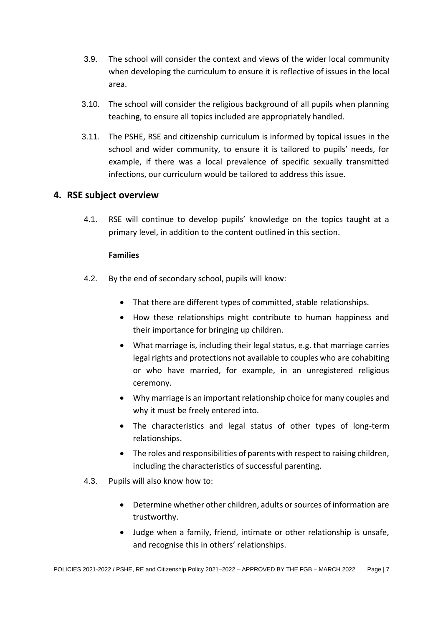- 3.9. The school will consider the context and views of the wider local community when developing the curriculum to ensure it is reflective of issues in the local area.
- 3.10. The school will consider the religious background of all pupils when planning teaching, to ensure all topics included are appropriately handled.
- 3.11. The PSHE, RSE and citizenship curriculum is informed by topical issues in the school and wider community, to ensure it is tailored to pupils' needs, for example, if there was a local prevalence of specific sexually transmitted infections, our curriculum would be tailored to address this issue.

## <span id="page-8-0"></span>**4. RSE subject overview**

4.1. RSE will continue to develop pupils' knowledge on the topics taught at a primary level, in addition to the content outlined in this section.

#### **Families**

- 4.2. By the end of secondary school, pupils will know:
	- That there are different types of committed, stable relationships.
	- How these relationships might contribute to human happiness and their importance for bringing up children.
	- What marriage is, including their legal status, e.g. that marriage carries legal rights and protections not available to couples who are cohabiting or who have married, for example, in an unregistered religious ceremony.
	- Why marriage is an important relationship choice for many couples and why it must be freely entered into.
	- The characteristics and legal status of other types of long-term relationships.
	- The roles and responsibilities of parents with respect to raising children, including the characteristics of successful parenting.
- 4.3. Pupils will also know how to:
	- Determine whether other children, adults or sources of information are trustworthy.
	- Judge when a family, friend, intimate or other relationship is unsafe, and recognise this in others' relationships.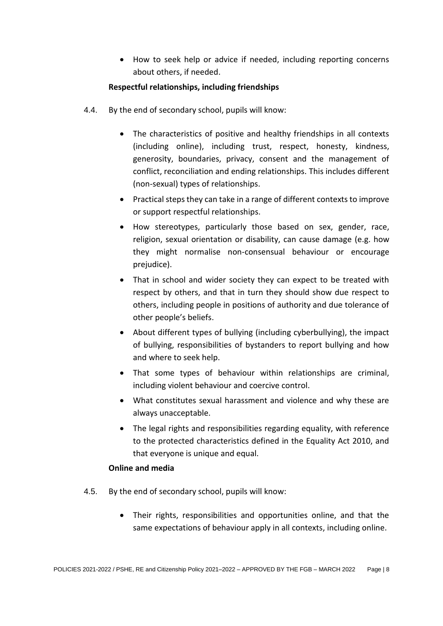• How to seek help or advice if needed, including reporting concerns about others, if needed.

#### **Respectful relationships, including friendships**

- 4.4. By the end of secondary school, pupils will know:
	- The characteristics of positive and healthy friendships in all contexts (including online), including trust, respect, honesty, kindness, generosity, boundaries, privacy, consent and the management of conflict, reconciliation and ending relationships. This includes different (non-sexual) types of relationships.
	- Practical steps they can take in a range of different contexts to improve or support respectful relationships.
	- How stereotypes, particularly those based on sex, gender, race, religion, sexual orientation or disability, can cause damage (e.g. how they might normalise non-consensual behaviour or encourage prejudice).
	- That in school and wider society they can expect to be treated with respect by others, and that in turn they should show due respect to others, including people in positions of authority and due tolerance of other people's beliefs.
	- About different types of bullying (including cyberbullying), the impact of bullying, responsibilities of bystanders to report bullying and how and where to seek help.
	- That some types of behaviour within relationships are criminal, including violent behaviour and coercive control.
	- What constitutes sexual harassment and violence and why these are always unacceptable.
	- The legal rights and responsibilities regarding equality, with reference to the protected characteristics defined in the Equality Act 2010, and that everyone is unique and equal.

#### **Online and media**

- 4.5. By the end of secondary school, pupils will know:
	- Their rights, responsibilities and opportunities online, and that the same expectations of behaviour apply in all contexts, including online.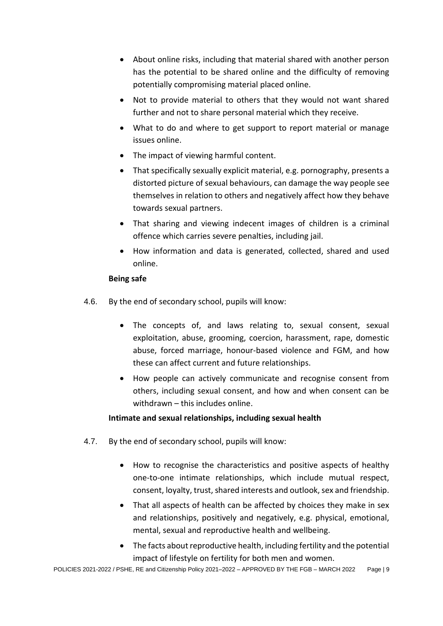- About online risks, including that material shared with another person has the potential to be shared online and the difficulty of removing potentially compromising material placed online.
- Not to provide material to others that they would not want shared further and not to share personal material which they receive.
- What to do and where to get support to report material or manage issues online.
- The impact of viewing harmful content.
- That specifically sexually explicit material, e.g. pornography, presents a distorted picture of sexual behaviours, can damage the way people see themselves in relation to others and negatively affect how they behave towards sexual partners.
- That sharing and viewing indecent images of children is a criminal offence which carries severe penalties, including jail.
- How information and data is generated, collected, shared and used online.

#### **Being safe**

- 4.6. By the end of secondary school, pupils will know:
	- The concepts of, and laws relating to, sexual consent, sexual exploitation, abuse, grooming, coercion, harassment, rape, domestic abuse, forced marriage, honour-based violence and FGM, and how these can affect current and future relationships.
	- How people can actively communicate and recognise consent from others, including sexual consent, and how and when consent can be withdrawn – this includes online.

## **Intimate and sexual relationships, including sexual health**

- 4.7. By the end of secondary school, pupils will know:
	- How to recognise the characteristics and positive aspects of healthy one-to-one intimate relationships, which include mutual respect, consent, loyalty, trust, shared interests and outlook, sex and friendship.
	- That all aspects of health can be affected by choices they make in sex and relationships, positively and negatively, e.g. physical, emotional, mental, sexual and reproductive health and wellbeing.
	- The facts about reproductive health, including fertility and the potential impact of lifestyle on fertility for both men and women.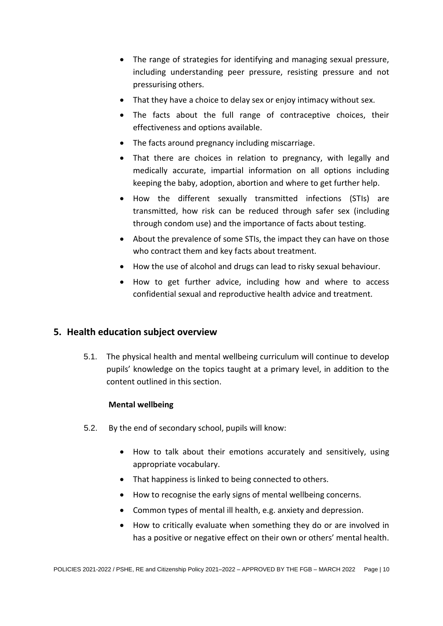- The range of strategies for identifying and managing sexual pressure, including understanding peer pressure, resisting pressure and not pressurising others.
- That they have a choice to delay sex or enjoy intimacy without sex.
- The facts about the full range of contraceptive choices, their effectiveness and options available.
- The facts around pregnancy including miscarriage.
- That there are choices in relation to pregnancy, with legally and medically accurate, impartial information on all options including keeping the baby, adoption, abortion and where to get further help.
- How the different sexually transmitted infections (STIs) are transmitted, how risk can be reduced through safer sex (including through condom use) and the importance of facts about testing.
- About the prevalence of some STIs, the impact they can have on those who contract them and key facts about treatment.
- How the use of alcohol and drugs can lead to risky sexual behaviour.
- <span id="page-11-1"></span>• How to get further advice, including how and where to access confidential sexual and reproductive health advice and treatment.

## <span id="page-11-0"></span>**5. Health education subject overview**

5.1. The physical health and mental wellbeing curriculum will continue to develop pupils' knowledge on the topics taught at a primary level, in addition to the content outlined in this section.

#### **Mental wellbeing**

- 5.2. By the end of secondary school, pupils will know:
	- How to talk about their emotions accurately and sensitively, using appropriate vocabulary.
	- That happiness is linked to being connected to others.
	- How to recognise the early signs of mental wellbeing concerns.
	- Common types of mental ill health, e.g. anxiety and depression.
	- How to critically evaluate when something they do or are involved in has a positive or negative effect on their own or others' mental health.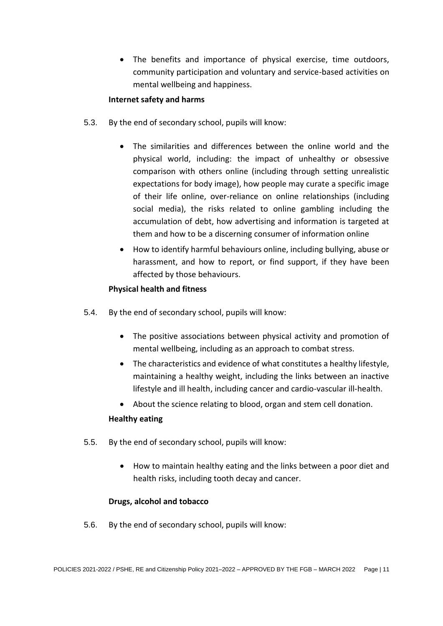• The benefits and importance of physical exercise, time outdoors, community participation and voluntary and service-based activities on mental wellbeing and happiness.

#### **Internet safety and harms**

- 5.3. By the end of secondary school, pupils will know:
	- The similarities and differences between the online world and the physical world, including: the impact of unhealthy or obsessive comparison with others online (including through setting unrealistic expectations for body image), how people may curate a specific image of their life online, over-reliance on online relationships (including social media), the risks related to online gambling including the accumulation of debt, how advertising and information is targeted at them and how to be a discerning consumer of information online
	- How to identify harmful behaviours online, including bullying, abuse or harassment, and how to report, or find support, if they have been affected by those behaviours.

#### **Physical health and fitness**

- 5.4. By the end of secondary school, pupils will know:
	- The positive associations between physical activity and promotion of mental wellbeing, including as an approach to combat stress.
	- The characteristics and evidence of what constitutes a healthy lifestyle, maintaining a healthy weight, including the links between an inactive lifestyle and ill health, including cancer and cardio-vascular ill-health.
	- About the science relating to blood, organ and stem cell donation.

#### **Healthy eating**

- 5.5. By the end of secondary school, pupils will know:
	- How to maintain healthy eating and the links between a poor diet and health risks, including tooth decay and cancer.

#### **Drugs, alcohol and tobacco**

5.6. By the end of secondary school, pupils will know: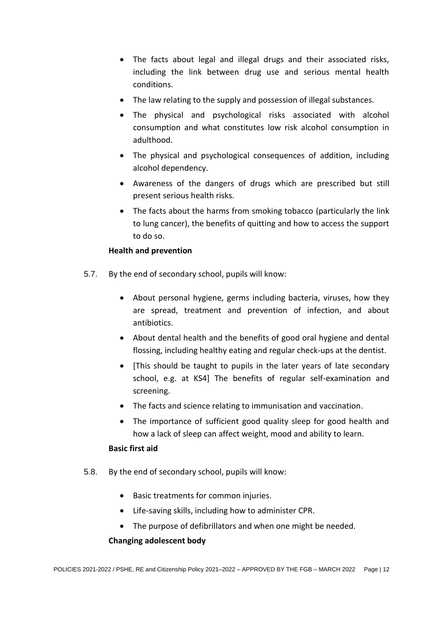- The facts about legal and illegal drugs and their associated risks, including the link between drug use and serious mental health conditions.
- The law relating to the supply and possession of illegal substances.
- The physical and psychological risks associated with alcohol consumption and what constitutes low risk alcohol consumption in adulthood.
- The physical and psychological consequences of addition, including alcohol dependency.
- Awareness of the dangers of drugs which are prescribed but still present serious health risks.
- The facts about the harms from smoking tobacco (particularly the link to lung cancer), the benefits of quitting and how to access the support to do so.

#### **Health and prevention**

- 5.7. By the end of secondary school, pupils will know:
	- About personal hygiene, germs including bacteria, viruses, how they are spread, treatment and prevention of infection, and about antibiotics.
	- About dental health and the benefits of good oral hygiene and dental flossing, including healthy eating and regular check-ups at the dentist.
	- [This should be taught to pupils in the later years of late secondary school, e.g. at KS4] The benefits of regular self-examination and screening.
	- The facts and science relating to immunisation and vaccination.
	- The importance of sufficient good quality sleep for good health and how a lack of sleep can affect weight, mood and ability to learn.

#### **Basic first aid**

- 5.8. By the end of secondary school, pupils will know:
	- Basic treatments for common injuries.
	- Life-saving skills, including how to administer CPR.
	- The purpose of defibrillators and when one might be needed.

#### **Changing adolescent body**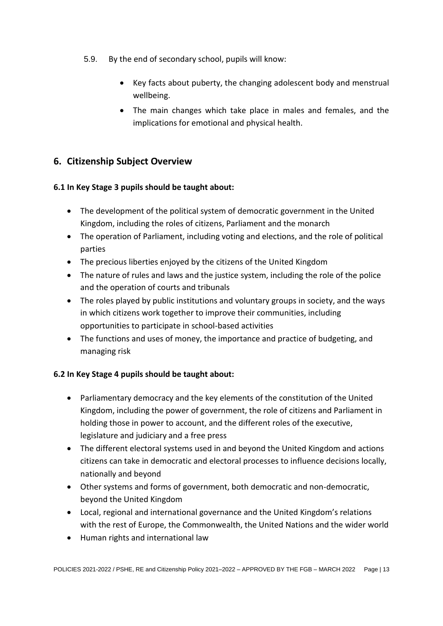- 5.9. By the end of secondary school, pupils will know:
	- Key facts about puberty, the changing adolescent body and menstrual wellbeing.
	- The main changes which take place in males and females, and the implications for emotional and physical health.

## **6. Citizenship Subject Overview**

### **6.1 In Key Stage 3 pupils should be taught about:**

- The development of the political system of democratic government in the United Kingdom, including the roles of citizens, Parliament and the monarch
- The operation of Parliament, including voting and elections, and the role of political parties
- The precious liberties enjoyed by the citizens of the United Kingdom
- The nature of rules and laws and the justice system, including the role of the police and the operation of courts and tribunals
- The roles played by public institutions and voluntary groups in society, and the ways in which citizens work together to improve their communities, including opportunities to participate in school-based activities
- The functions and uses of money, the importance and practice of budgeting, and managing risk

## **6.2 In Key Stage 4 pupils should be taught about:**

- Parliamentary democracy and the key elements of the constitution of the United Kingdom, including the power of government, the role of citizens and Parliament in holding those in power to account, and the different roles of the executive, legislature and judiciary and a free press
- The different electoral systems used in and beyond the United Kingdom and actions citizens can take in democratic and electoral processes to influence decisions locally, nationally and beyond
- Other systems and forms of government, both democratic and non-democratic, beyond the United Kingdom
- Local, regional and international governance and the United Kingdom's relations with the rest of Europe, the Commonwealth, the United Nations and the wider world
- Human rights and international law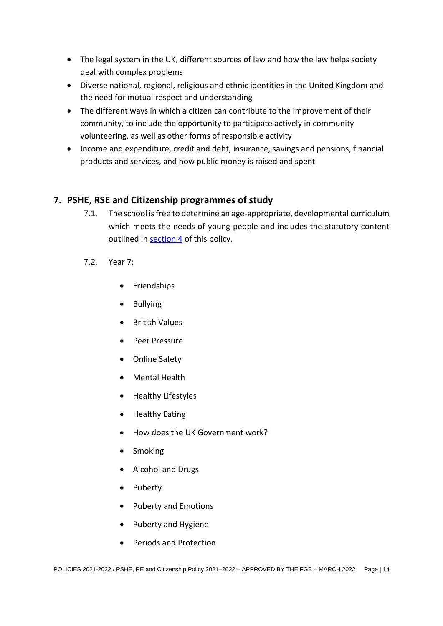- The legal system in the UK, different sources of law and how the law helps society deal with complex problems
- Diverse national, regional, religious and ethnic identities in the United Kingdom and the need for mutual respect and understanding
- The different ways in which a citizen can contribute to the improvement of their community, to include the opportunity to participate actively in community volunteering, as well as other forms of responsible activity
- Income and expenditure, credit and debt, insurance, savings and pensions, financial products and services, and how public money is raised and spent

## **7. PSHE, RSE and Citizenship programmes of study**

- 7.1. The school is free to determine an age-appropriate, developmental curriculum which meets the needs of young people and includes the statutory content outlined in  $section 4$  of this policy.
- 7.2. Year 7:
	- Friendships
	- Bullying
	- British Values
	- Peer Pressure
	- Online Safety
	- Mental Health
	- Healthy Lifestyles
	- Healthy Eating
	- How does the UK Government work?
	- Smoking
	- Alcohol and Drugs
	- Puberty
	- Puberty and Emotions
	- Puberty and Hygiene
	- Periods and Protection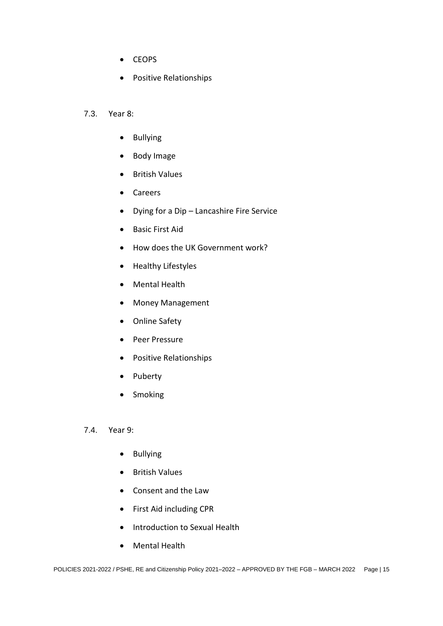- CEOPS
- Positive Relationships

#### 7.3. Year 8:

- Bullying
- Body Image
- British Values
- Careers
- Dying for a Dip Lancashire Fire Service
- Basic First Aid
- How does the UK Government work?
- Healthy Lifestyles
- Mental Health
- Money Management
- Online Safety
- Peer Pressure
- Positive Relationships
- Puberty
- Smoking
- 7.4. Year 9:
	- Bullying
	- British Values
	- Consent and the Law
	- First Aid including CPR
	- Introduction to Sexual Health
	- Mental Health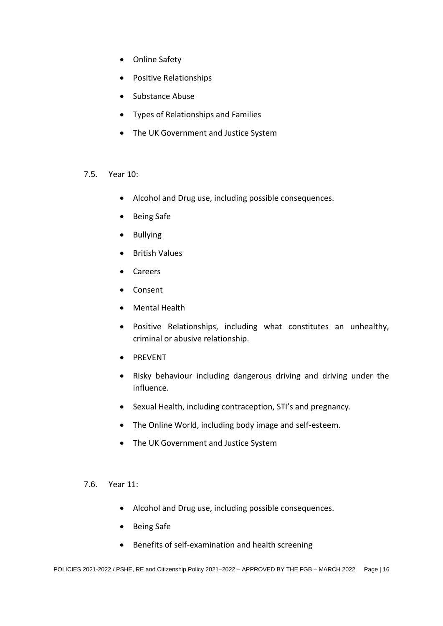- Online Safety
- Positive Relationships
- Substance Abuse
- Types of Relationships and Families
- The UK Government and Justice System
- 7.5. Year 10:
	- Alcohol and Drug use, including possible consequences.
	- Being Safe
	- Bullying
	- British Values
	- Careers
	- Consent
	- Mental Health
	- Positive Relationships, including what constitutes an unhealthy, criminal or abusive relationship.
	- PREVENT
	- Risky behaviour including dangerous driving and driving under the influence.
	- Sexual Health, including contraception, STI's and pregnancy.
	- The Online World, including body image and self-esteem.
	- The UK Government and Justice System
- 7.6. Year 11:
	- Alcohol and Drug use, including possible consequences.
	- Being Safe
	- Benefits of self-examination and health screening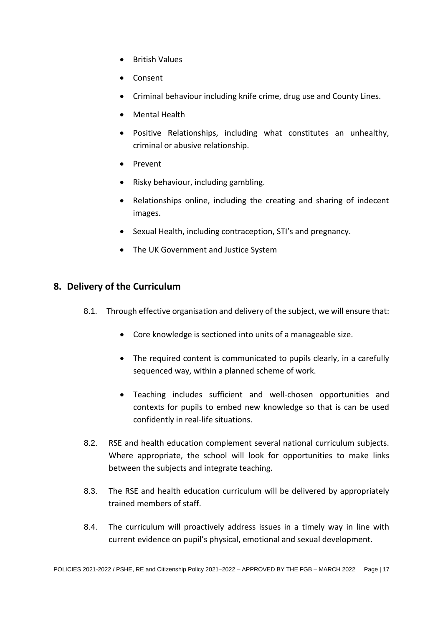- British Values
- Consent
- Criminal behaviour including knife crime, drug use and County Lines.
- Mental Health
- Positive Relationships, including what constitutes an unhealthy, criminal or abusive relationship.
- Prevent
- Risky behaviour, including gambling.
- Relationships online, including the creating and sharing of indecent images.
- Sexual Health, including contraception, STI's and pregnancy.
- The UK Government and Justice System

## **8. Delivery of the Curriculum**

- 8.1. Through effective organisation and delivery of the subject, we will ensure that:
	- Core knowledge is sectioned into units of a manageable size.
	- The required content is communicated to pupils clearly, in a carefully sequenced way, within a planned scheme of work.
	- Teaching includes sufficient and well-chosen opportunities and contexts for pupils to embed new knowledge so that is can be used confidently in real-life situations.
- 8.2. RSE and health education complement several national curriculum subjects. Where appropriate, the school will look for opportunities to make links between the subjects and integrate teaching.
- 8.3. The RSE and health education curriculum will be delivered by appropriately trained members of staff.
- 8.4. The curriculum will proactively address issues in a timely way in line with current evidence on pupil's physical, emotional and sexual development.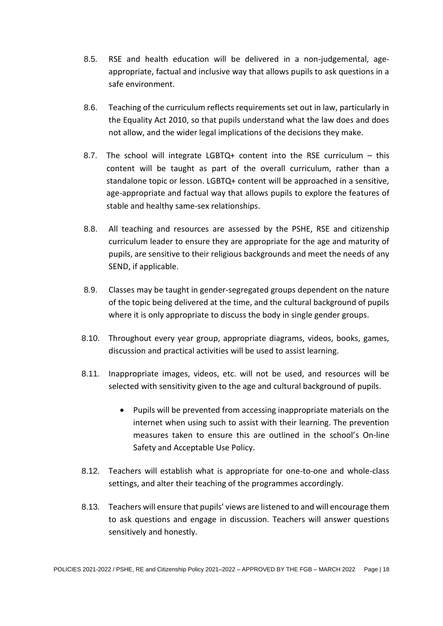- 8.5. RSE and health education will be delivered in a non-judgemental, ageappropriate, factual and inclusive way that allows pupils to ask questions in a safe environment.
- 8.6. Teaching of the curriculum reflects requirements set out in law, particularly in the Equality Act 2010, so that pupils understand what the law does and does not allow, and the wider legal implications of the decisions they make.
- 8.7. The school will integrate LGBTQ+ content into the RSE curriculum this content will be taught as part of the overall curriculum, rather than a standalone topic or lesson. LGBTQ+ content will be approached in a sensitive, age-appropriate and factual way that allows pupils to explore the features of stable and healthy same-sex relationships.
- 8.8. All teaching and resources are assessed by the PSHE, RSE and citizenship curriculum leader to ensure they are appropriate for the age and maturity of pupils, are sensitive to their religious backgrounds and meet the needs of any SEND, if applicable.
- 8.9. Classes may be taught in gender-segregated groups dependent on the nature of the topic being delivered at the time, and the cultural background of pupils where it is only appropriate to discuss the body in single gender groups.
- 8.10. Throughout every year group, appropriate diagrams, videos, books, games, discussion and practical activities will be used to assist learning.
- 8.11. Inappropriate images, videos, etc. will not be used, and resources will be selected with sensitivity given to the age and cultural background of pupils.
	- Pupils will be prevented from accessing inappropriate materials on the internet when using such to assist with their learning. The prevention measures taken to ensure this are outlined in the school's On-line Safety and Acceptable Use Policy.
- 8.12. Teachers will establish what is appropriate for one-to-one and whole-class settings, and alter their teaching of the programmes accordingly.
- 8.13. Teachers will ensure that pupils' views are listened to and will encourage them to ask questions and engage in discussion. Teachers will answer questions sensitively and honestly.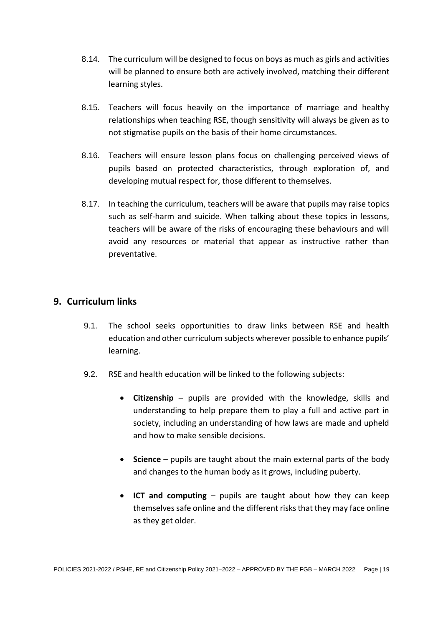- 8.14. The curriculum will be designed to focus on boys as much as girls and activities will be planned to ensure both are actively involved, matching their different learning styles.
- 8.15. Teachers will focus heavily on the importance of marriage and healthy relationships when teaching RSE, though sensitivity will always be given as to not stigmatise pupils on the basis of their home circumstances.
- 8.16. Teachers will ensure lesson plans focus on challenging perceived views of pupils based on protected characteristics, through exploration of, and developing mutual respect for, those different to themselves.
- 8.17. In teaching the curriculum, teachers will be aware that pupils may raise topics such as self-harm and suicide. When talking about these topics in lessons, teachers will be aware of the risks of encouraging these behaviours and will avoid any resources or material that appear as instructive rather than preventative.

## <span id="page-20-0"></span>**9. Curriculum links**

- 9.1. The school seeks opportunities to draw links between RSE and health education and other curriculum subjects wherever possible to enhance pupils' learning.
- 9.2. RSE and health education will be linked to the following subjects:
	- **Citizenship** pupils are provided with the knowledge, skills and understanding to help prepare them to play a full and active part in society, including an understanding of how laws are made and upheld and how to make sensible decisions.
	- **Science** pupils are taught about the main external parts of the body and changes to the human body as it grows, including puberty.
	- **ICT and computing** pupils are taught about how they can keep themselves safe online and the different risks that they may face online as they get older.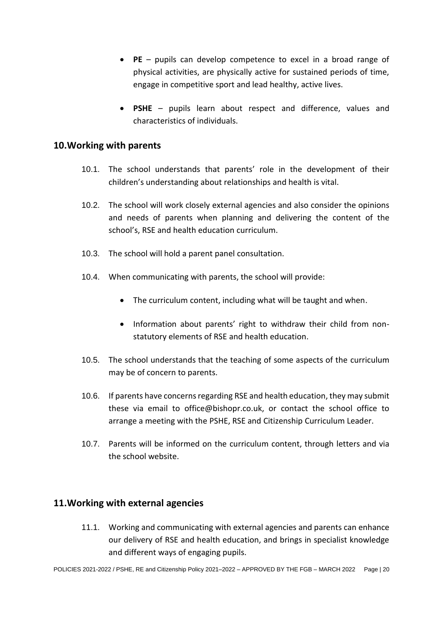- **PE** pupils can develop competence to excel in a broad range of physical activities, are physically active for sustained periods of time, engage in competitive sport and lead healthy, active lives.
- **PSHE** pupils learn about respect and difference, values and characteristics of individuals.

#### **10.Working with parents**

- 10.1. The school understands that parents' role in the development of their children's understanding about relationships and health is vital.
- 10.2. The school will work closely external agencies and also consider the opinions and needs of parents when planning and delivering the content of the school's, RSE and health education curriculum.
- 10.3. The school will hold a parent panel consultation.
- 10.4. When communicating with parents, the school will provide:
	- The curriculum content, including what will be taught and when.
	- Information about parents' right to withdraw their child from nonstatutory elements of RSE and health education.
- 10.5. The school understands that the teaching of some aspects of the curriculum may be of concern to parents.
- 10.6. If parents have concerns regarding RSE and health education, they may submit these via email to office@bishopr.co.uk, or contact the school office to arrange a meeting with the PSHE, RSE and Citizenship Curriculum Leader.
- 10.7. Parents will be informed on the curriculum content, through letters and via the school website.

## <span id="page-21-0"></span>**11.Working with external agencies**

11.1. Working and communicating with external agencies and parents can enhance our delivery of RSE and health education, and brings in specialist knowledge and different ways of engaging pupils.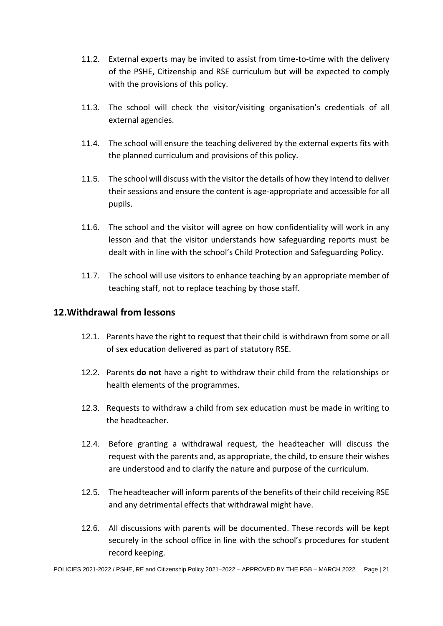- 11.2. External experts may be invited to assist from time-to-time with the delivery of the PSHE, Citizenship and RSE curriculum but will be expected to comply with the provisions of this policy.
- 11.3. The school will check the visitor/visiting organisation's credentials of all external agencies.
- 11.4. The school will ensure the teaching delivered by the external experts fits with the planned curriculum and provisions of this policy.
- 11.5. The school will discuss with the visitor the details of how they intend to deliver their sessions and ensure the content is age-appropriate and accessible for all pupils.
- 11.6. The school and the visitor will agree on how confidentiality will work in any lesson and that the visitor understands how safeguarding reports must be dealt with in line with the school's Child Protection and Safeguarding Policy.
- 11.7. The school will use visitors to enhance teaching by an appropriate member of teaching staff, not to replace teaching by those staff.

## <span id="page-22-0"></span>**12.Withdrawal from lessons**

- 12.1. Parents have the right to request that their child is withdrawn from some or all of sex education delivered as part of statutory RSE.
- 12.2. Parents **do not** have a right to withdraw their child from the relationships or health elements of the programmes.
- 12.3. Requests to withdraw a child from sex education must be made in writing to the headteacher.
- 12.4. Before granting a withdrawal request, the headteacher will discuss the request with the parents and, as appropriate, the child, to ensure their wishes are understood and to clarify the nature and purpose of the curriculum.
- 12.5. The headteacher will inform parents of the benefits of their child receiving RSE and any detrimental effects that withdrawal might have.
- 12.6. All discussions with parents will be documented. These records will be kept securely in the school office in line with the school's procedures for student record keeping.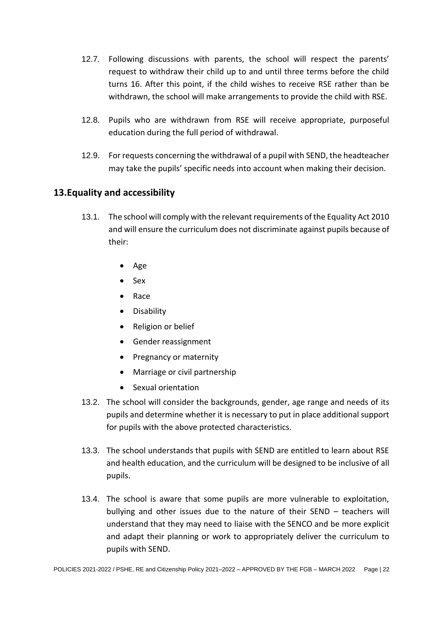- 12.7. Following discussions with parents, the school will respect the parents' request to withdraw their child up to and until three terms before the child turns 16. After this point, if the child wishes to receive RSE rather than be withdrawn, the school will make arrangements to provide the child with RSE.
- 12.8. Pupils who are withdrawn from RSE will receive appropriate, purposeful education during the full period of withdrawal.
- 12.9. For requests concerning the withdrawal of a pupil with SEND, the headteacher may take the pupils' specific needs into account when making their decision.

## <span id="page-23-0"></span>**13.Equality and accessibility**

- 13.1. The school will comply with the relevant requirements of the Equality Act 2010 and will ensure the curriculum does not discriminate against pupils because of their:
	- Age
	- Sex
	- Race
	- Disability
	- Religion or belief
	- Gender reassignment
	- Pregnancy or maternity
	- Marriage or civil partnership
	- Sexual orientation
- 13.2. The school will consider the backgrounds, gender, age range and needs of its pupils and determine whether it is necessary to put in place additional support for pupils with the above protected characteristics.
- 13.3. The school understands that pupils with SEND are entitled to learn about RSE and health education, and the curriculum will be designed to be inclusive of all pupils.
- 13.4. The school is aware that some pupils are more vulnerable to exploitation, bullying and other issues due to the nature of their SEND – teachers will understand that they may need to liaise with the SENCO and be more explicit and adapt their planning or work to appropriately deliver the curriculum to pupils with SEND.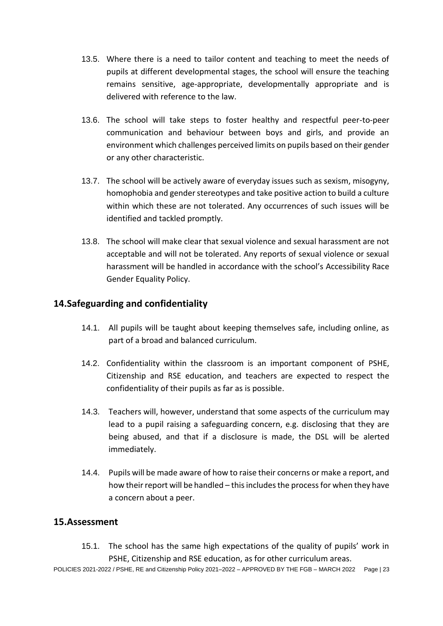- 13.5. Where there is a need to tailor content and teaching to meet the needs of pupils at different developmental stages, the school will ensure the teaching remains sensitive, age-appropriate, developmentally appropriate and is delivered with reference to the law.
- 13.6. The school will take steps to foster healthy and respectful peer-to-peer communication and behaviour between boys and girls, and provide an environment which challenges perceived limits on pupils based on their gender or any other characteristic.
- 13.7. The school will be actively aware of everyday issues such as sexism, misogyny, homophobia and gender stereotypes and take positive action to build a culture within which these are not tolerated. Any occurrences of such issues will be identified and tackled promptly.
- 13.8. The school will make clear that sexual violence and sexual harassment are not acceptable and will not be tolerated. Any reports of sexual violence or sexual harassment will be handled in accordance with the school's Accessibility Race Gender Equality Policy.

## <span id="page-24-0"></span>**14.Safeguarding and confidentiality**

- 14.1. All pupils will be taught about keeping themselves safe, including online, as part of a broad and balanced curriculum.
- 14.2. Confidentiality within the classroom is an important component of PSHE, Citizenship and RSE education, and teachers are expected to respect the confidentiality of their pupils as far as is possible.
- 14.3. Teachers will, however, understand that some aspects of the curriculum may lead to a pupil raising a safeguarding concern, e.g. disclosing that they are being abused, and that if a disclosure is made, the DSL will be alerted immediately.
- 14.4. Pupils will be made aware of how to raise their concerns or make a report, and how their report will be handled – this includes the process for when they have a concern about a peer.

## <span id="page-24-1"></span>**15.Assessment**

15.1. The school has the same high expectations of the quality of pupils' work in PSHE, Citizenship and RSE education, as for other curriculum areas.

POLICIES 2021-2022 / PSHE, RE and Citizenship Policy 2021–2022 – APPROVED BY THE FGB – MARCH 2022 Page | 23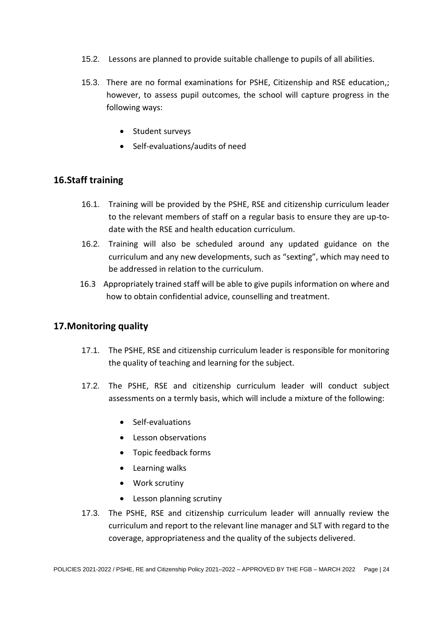- 15.2. Lessons are planned to provide suitable challenge to pupils of all abilities.
- 15.3. There are no formal examinations for PSHE, Citizenship and RSE education,; however, to assess pupil outcomes, the school will capture progress in the following ways:
	- Student surveys
	- Self-evaluations/audits of need

### <span id="page-25-0"></span>**16.Staff training**

- 16.1. Training will be provided by the PSHE, RSE and citizenship curriculum leader to the relevant members of staff on a regular basis to ensure they are up-todate with the RSE and health education curriculum.
- 16.2. Training will also be scheduled around any updated guidance on the curriculum and any new developments, such as "sexting", which may need to be addressed in relation to the curriculum.
- 16.3 Appropriately trained staff will be able to give pupils information on where and how to obtain confidential advice, counselling and treatment.

## <span id="page-25-1"></span>**17.Monitoring quality**

- 17.1. The PSHE, RSE and citizenship curriculum leader is responsible for monitoring the quality of teaching and learning for the subject.
- 17.2. The PSHE, RSE and citizenship curriculum leader will conduct subject assessments on a termly basis, which will include a mixture of the following:
	- Self-evaluations
	- Lesson observations
	- Topic feedback forms
	- Learning walks
	- Work scrutiny
	- Lesson planning scrutiny
- 17.3. The PSHE, RSE and citizenship curriculum leader will annually review the curriculum and report to the relevant line manager and SLT with regard to the coverage, appropriateness and the quality of the subjects delivered.